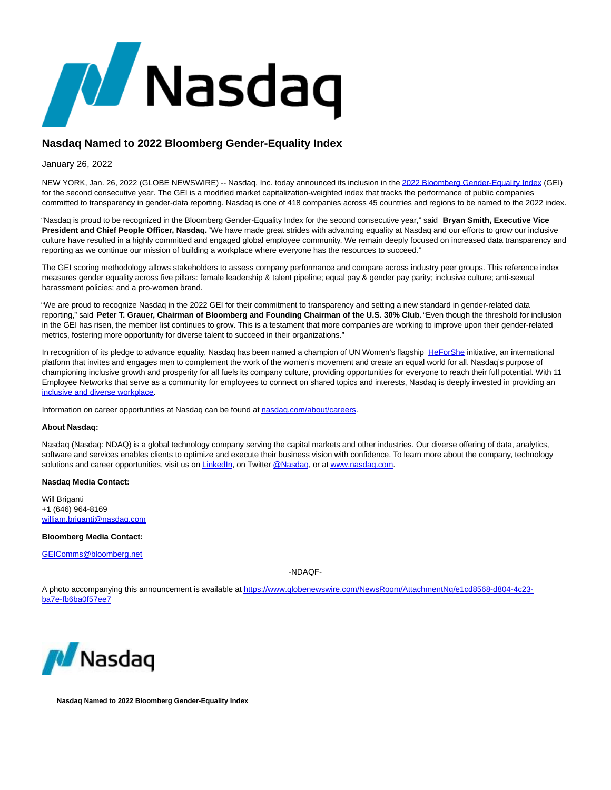

## **Nasdaq Named to 2022 Bloomberg Gender-Equality Index**

## January 26, 2022

NEW YORK, Jan. 26, 2022 (GLOBE NEWSWIRE) -- Nasdaq, Inc. today announced its inclusion in th[e 2022 Bloomberg Gender-Equality Index \(](https://www.globenewswire.com/Tracker?data=yW1m3ZfUI-yBtfKO_i92qPsT0o7uOn84s4UUzAYmyT5EzxQykx7HiMeCkeEYqkk2HuanI_2xqQAPfT6N6-buXMg3qAmP9sZ9TZFWmZyMoTfJiLUMSz9ljefdifSjO_zA)GEI) for the second consecutive year. The GEI is a modified market capitalization-weighted index that tracks the performance of public companies committed to transparency in gender-data reporting. Nasdaq is one of 418 companies across 45 countries and regions to be named to the 2022 index.

"Nasdaq is proud to be recognized in the Bloomberg Gender-Equality Index for the second consecutive year," said **Bryan Smith, Executive Vice President and Chief People Officer, Nasdaq.** "We have made great strides with advancing equality at Nasdaq and our efforts to grow our inclusive culture have resulted in a highly committed and engaged global employee community. We remain deeply focused on increased data transparency and reporting as we continue our mission of building a workplace where everyone has the resources to succeed."

The GEI scoring methodology allows stakeholders to assess company performance and compare across industry peer groups. This reference index measures gender equality across five pillars: female leadership & talent pipeline; equal pay & gender pay parity; inclusive culture; anti-sexual harassment policies; and a pro-women brand.

"We are proud to recognize Nasdaq in the 2022 GEI for their commitment to transparency and setting a new standard in gender-related data reporting," said **Peter T. Grauer, Chairman of Bloomberg and Founding Chairman of the U.S. 30% Club.** "Even though the threshold for inclusion in the GEI has risen, the member list continues to grow. This is a testament that more companies are working to improve upon their gender-related metrics, fostering more opportunity for diverse talent to succeed in their organizations."

In recognition of its pledge to advance equality, Nasdaq has been named a champion of UN Women's flagship [HeForShe i](https://www.globenewswire.com/Tracker?data=dyeIY4c0hjJRLVZdieTCIcedXKle-4tJ2OLIWPxFKsTg8vyo1RdY6zb1Kz3vPjzAtz849TnbJghxAMmMqdgZOSa0B3lR4gbJaWcW3_0bY84=)nitiative, an international platform that invites and engages men to complement the work of the women's movement and create an equal world for all. Nasdaq's purpose of championing inclusive growth and prosperity for all fuels its company culture, providing opportunities for everyone to reach their full potential. With 11 Employee Networks that serve as a community for employees to connect on shared topics and interests, Nasdaq is deeply invested in providing an [inclusive and diverse workplace.](https://www.globenewswire.com/Tracker?data=omEc7GGL7hy4Nzc1etstWeI8lJjh3KULAYaW3tr_f3Q3rtAfBCCSl7_YYYFdWWTR0Nfda_GLZIQBFO1XDJE_At-TJpe8dXZRJ3LuV45OVpXgpR-2Ag9K6FQDT7zLR_TdfU8u_8BBb2Jryyqax8nrEg==)

Information on career opportunities at Nasdaq can be found a[t nasdaq.com/about/careers.](https://www.globenewswire.com/Tracker?data=17lV-AXT2kDkSYUkt1Sl_8BffR9BM_hpyePTM3DRBIPVetcEAK-KLuX8mXwOEblZEeBtN2IcCovHoHvbGFdri1al_eu6_qziRlfNOA-cqLeHgW_LhSxvhdYSvWZz65e4)

## **About Nasdaq:**

Nasdaq (Nasdaq: NDAQ) is a global technology company serving the capital markets and other industries. Our diverse offering of data, analytics, software and services enables clients to optimize and execute their business vision with confidence. To learn more about the company, technology solutions and career opportunities, visit us on [LinkedIn,](https://www.globenewswire.com/Tracker?data=1LSFy8nb1l8HSNn4xMOfysNnra0vkSf4WF_wcDXp7_74TGHzqDvplKhRKN9Ay7XRSQrG6pZqpap-gy6tXOpumdFRLuV5X8xruaTsmsmVn0g=) on Twitter [@Nasdaq,](https://www.globenewswire.com/Tracker?data=Gg4aFL8zq-nEIEParDddbOsupR7nhdKdcJahrKkt36uf6R-_j-Az-f9w5JtDRL6gXk2I1Gat5dNqPLz_dejJNA==) or a[t www.nasdaq.com.](https://www.globenewswire.com/Tracker?data=A_BbNixthFZp1XEAm-CQi08M_hQEncsgY56P2LH5_WHPj_Ga8S9aJ9vLrm60kxwpH5uh2HL_-OES95FrdHKkew==)

## **Nasdaq Media Contact:**

Will Briganti +1 (646) 964-8169 [william.briganti@nasdaq.com](https://www.globenewswire.com/Tracker?data=xyCUeUUWch1V0U5Fo_Utrjacxq6SDiU-LXzRzPpjON6H8cxjCzynPkvPEZk6-272KASHUzCvZgTUvmySoHU1PQRmWDhPWzmyn4PEGEXEGsgjbrvYJoELfSJnjc2VOOju)

**Bloomberg Media Contact:**

[GEIComms@bloomberg.net](https://www.globenewswire.com/Tracker?data=TzbstaFGyOKMicmdgUtEv0AzQvjkBQsg9SVOFm8c7EZ3UKnPsgncA5Gp2Y1ZONQ6E8N_8cxNMAKaUhPpGjzhHGQusi6EMb-mqaGQLVcLh0g=)

-NDAQF-

A photo accompanying this announcement is available a[t https://www.globenewswire.com/NewsRoom/AttachmentNg/e1cd8568-d804-4c23](https://www.globenewswire.com/Tracker?data=FCp23rOiGXQGBrpvUGQtamVdg8y-9I_ZwZWkh8II5iFTtinXtvuO_g9GO4Ei9WTWwWHn2BQ8qLjOApAyzT8YHaW7QfiOmZ_0j1hztjLlcg9VqchU_CTIQFpP5p-KzgztLtjI5eCv1QqI01qmYJrvGF-LWilv0pc57mco0eAhJv6bk8rX4aQmUMhjEqr6C1ktO7BegH2qa0WMQi2dF7gzlRAgbZcFT4ezCzwo49CZGDF_RSJ9_e5zCGzXY_AhxdRwJGh29VsDw-Ri_00fPw_NjA==) ba7e-fb6ba0f57ee7



**Nasdaq Named to 2022 Bloomberg Gender-Equality Index**